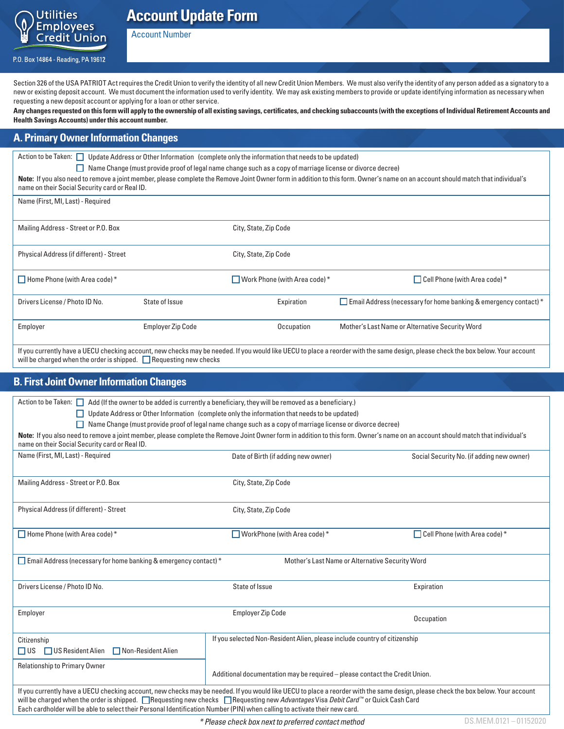

# **Account Update Form**

Account Number

P.O. Box 14864 - Reading, PA 19612

Section 326 of the USA PATRIOT Act requires the Credit Union to verify the identity of all new Credit Union Members. We must also verify the identity of any person added as a signatory to a new or existing deposit account. We must document the information used to verify identity. We may ask existing members to provide or update identifying information as necessary when requesting a new deposit account or applying for a loan or other service.

**Any changes requested on this form will apply to the ownership of all existing savings, certificates, and checking subaccounts (with the exceptions of Individual Retirement Accounts and Health Savings Accounts) under this account number.**

### **A. Primary Owner Information Changes**

Action to be Taken: Update Address or Other Information (complete only the information that needs to be updated)

Name Change (must provide proof of legal name change such as a copy of marriage license or divorce decree)

**Note:** If you also need to remove a joint member, please complete the Remove Joint Owner form in addition to this form. Owner's name on an account should match that individual's name on their Social Security card or Real ID.

| Name (First, MI, Last) - Required |  |  |  |
|-----------------------------------|--|--|--|
|                                   |  |  |  |

| Mailing Address - Street or P.O. Box     |                          | City, State, Zip Code                  |                                                                                                                                                                                   |
|------------------------------------------|--------------------------|----------------------------------------|-----------------------------------------------------------------------------------------------------------------------------------------------------------------------------------|
| Physical Address (if different) - Street |                          | City, State, Zip Code                  |                                                                                                                                                                                   |
| $\Box$ Home Phone (with Area code) $*$   |                          | $\Box$ Work Phone (with Area code) $*$ | Cell Phone (with Area code) *                                                                                                                                                     |
| Drivers License / Photo ID No.           | State of Issue           | Expiration                             | Email Address (necessary for home banking & emergency contact) *                                                                                                                  |
| Employer                                 | <b>Employer Zip Code</b> | Occupation                             | Mother's Last Name or Alternative Security Word                                                                                                                                   |
|                                          |                          |                                        | If you currently have a UECU checking account, new checks may be needed. If you would like UECU to place a reorder with the same design, please check the box below. Your account |

will be charged when the order is shipped.  $\Box$  Requesting new checks

## **B. First Joint Owner Information Changes**

| Action to be Taken: $\Box$ Add (If the owner to be added is currently a beneficiary, they will be removed as a beneficiary.)                                                                                                                                                                                                                                                                                                                                            |                                                                                                            |                                           |  |  |
|-------------------------------------------------------------------------------------------------------------------------------------------------------------------------------------------------------------------------------------------------------------------------------------------------------------------------------------------------------------------------------------------------------------------------------------------------------------------------|------------------------------------------------------------------------------------------------------------|-------------------------------------------|--|--|
|                                                                                                                                                                                                                                                                                                                                                                                                                                                                         | $\Box$ Update Address or Other Information (complete only the information that needs to be updated)        |                                           |  |  |
|                                                                                                                                                                                                                                                                                                                                                                                                                                                                         | Name Change (must provide proof of legal name change such as a copy of marriage license or divorce decree) |                                           |  |  |
| Note: If you also need to remove a joint member, please complete the Remove Joint Owner form in addition to this form. Owner's name on an account should match that individual's<br>name on their Social Security card or Real ID.                                                                                                                                                                                                                                      |                                                                                                            |                                           |  |  |
| Name (First, MI, Last) - Required                                                                                                                                                                                                                                                                                                                                                                                                                                       | Date of Birth (if adding new owner)                                                                        | Social Security No. (if adding new owner) |  |  |
| Mailing Address - Street or P.O. Box                                                                                                                                                                                                                                                                                                                                                                                                                                    | City, State, Zip Code                                                                                      |                                           |  |  |
| Physical Address (if different) - Street                                                                                                                                                                                                                                                                                                                                                                                                                                | City, State, Zip Code                                                                                      |                                           |  |  |
| $\Box$ Home Phone (with Area code) $*$                                                                                                                                                                                                                                                                                                                                                                                                                                  | $\Box$ WorkPhone (with Area code) $*$                                                                      | $\Box$ Cell Phone (with Area code) *      |  |  |
| <b>Email Address (necessary for home banking &amp; emergency contact)</b> $*$<br>Mother's Last Name or Alternative Security Word                                                                                                                                                                                                                                                                                                                                        |                                                                                                            |                                           |  |  |
| Drivers License / Photo ID No.                                                                                                                                                                                                                                                                                                                                                                                                                                          | State of Issue                                                                                             | Expiration                                |  |  |
| Employer                                                                                                                                                                                                                                                                                                                                                                                                                                                                | <b>Employer Zip Code</b>                                                                                   | Occupation                                |  |  |
| Citizenship<br>$\Box$ US Resident Alien<br>Non-Resident Alien<br>$\Box$ US                                                                                                                                                                                                                                                                                                                                                                                              | If you selected Non-Resident Alien, please include country of citizenship                                  |                                           |  |  |
| <b>Relationship to Primary Owner</b>                                                                                                                                                                                                                                                                                                                                                                                                                                    | Additional documentation may be required - please contact the Credit Union.                                |                                           |  |  |
| If you currently have a UECU checking account, new checks may be needed. If you would like UECU to place a reorder with the same design, please check the box below. Your account<br>will be charged when the order is shipped. <b>Nequesting new checks</b> Requesting new <i>Advantages</i> Visa <i>Debit Card</i> ™ or Quick Cash Card<br>Each cardholder will be able to select their Personal Identification Number (PIN) when calling to activate their new card. |                                                                                                            |                                           |  |  |